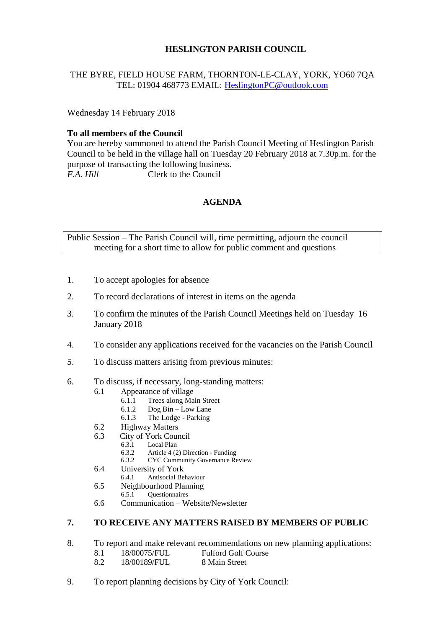## **HESLINGTON PARISH COUNCIL**

## THE BYRE, FIELD HOUSE FARM, THORNTON-LE-CLAY, YORK, YO60 7QA TEL: 01904 468773 EMAIL: [HeslingtonPC@outlook.com](mailto:HeslingtonPC@outlook.com)

Wednesday 14 February 2018

#### **To all members of the Council**

You are hereby summoned to attend the Parish Council Meeting of Heslington Parish Council to be held in the village hall on Tuesday 20 February 2018 at 7.30p.m. for the purpose of transacting the following business. *F.A. Hill* Clerk to the Council

#### **AGENDA**

Public Session – The Parish Council will, time permitting, adjourn the council meeting for a short time to allow for public comment and questions

- 1. To accept apologies for absence
- 2. To record declarations of interest in items on the agenda
- 3. To confirm the minutes of the Parish Council Meetings held on Tuesday 16 January 2018
- 4. To consider any applications received for the vacancies on the Parish Council
- 5. To discuss matters arising from previous minutes:
- 6. To discuss, if necessary, long-standing matters:
	- 6.1 Appearance of village
		- 6.1.1 Trees along Main Street
		- 6.1.2 Dog Bin Low Lane<br>6.1.3 The Lodge Parking
		- The Lodge Parking
	- 6.2 Highway Matters
	- 6.3 City of York Council
		- 6.3.1 Local Plan<br>6.3.2 Article 4 (2
		- 6.3.2 Article 4 (2) Direction Funding
		- 6.3.2 CYC Community Governance Review
	- 6.4 University of York<br>6.4.1 Antisocial Be
		- 6.4.1 Antisocial Behaviour
	- 6.5 Neighbourhood Planning<br>6.5.1 Ouestionnaires
		- 6.5.1 Questionnaires
	- 6.6 Communication Website/Newsletter

# **7. TO RECEIVE ANY MATTERS RAISED BY MEMBERS OF PUBLIC**

- 8. To report and make relevant recommendations on new planning applications:
	- 8.1 18/00075/FUL Fulford Golf Course
	- 8.2 18/00189/FUL 8 Main Street
- 9. To report planning decisions by City of York Council: